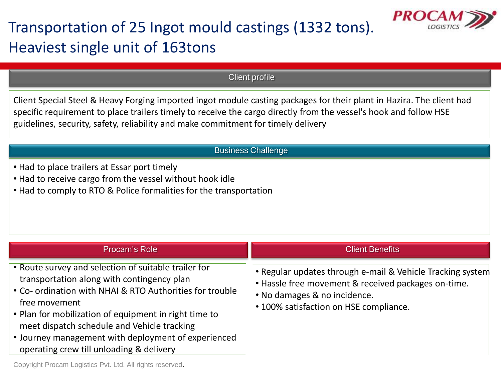

## Transportation of 25 Ingot mould castings (1332 tons). Heaviest single unit of 163tons

Client profile

Client Special Steel & Heavy Forging imported ingot module casting packages for their plant in Hazira. The client had specific requirement to place trailers timely to receive the cargo directly from the vessel's hook and follow HSE guidelines, security, safety, reliability and make commitment for timely delivery

## Business Challenge

- Had to place trailers at Essar port timely
- Had to receive cargo from the vessel without hook idle
- Had to comply to RTO & Police formalities for the transportation

| Procam's Role                                                                                                                                                                                                                                                                                                                                                                              | <b>Client Benefits</b>                                                                                                                                                                      |
|--------------------------------------------------------------------------------------------------------------------------------------------------------------------------------------------------------------------------------------------------------------------------------------------------------------------------------------------------------------------------------------------|---------------------------------------------------------------------------------------------------------------------------------------------------------------------------------------------|
| • Route survey and selection of suitable trailer for<br>transportation along with contingency plan<br>• Co- ordination with NHAI & RTO Authorities for trouble<br>free movement<br>. Plan for mobilization of equipment in right time to<br>meet dispatch schedule and Vehicle tracking<br>• Journey management with deployment of experienced<br>operating crew till unloading & delivery | • Regular updates through e-mail & Vehicle Tracking system<br>. Hassle free movement & received packages on-time.<br>. No damages & no incidence.<br>• 100% satisfaction on HSE compliance. |